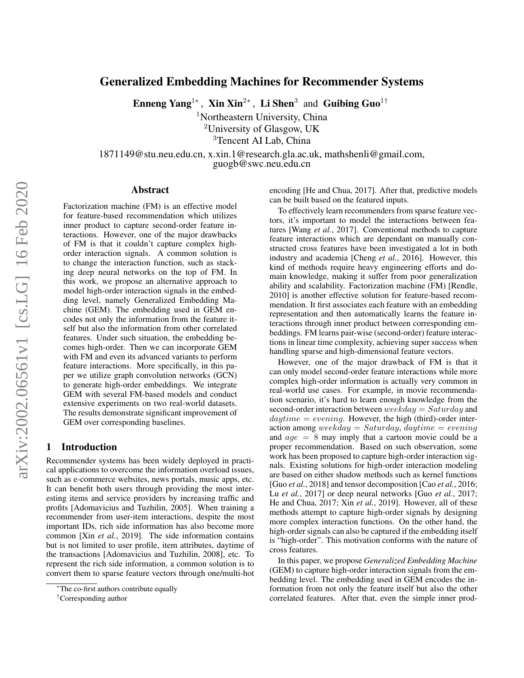# Generalized Embedding Machines for Recommender Systems

Enneng Yang<sup>1∗</sup>, Xin Xin<sup>2∗</sup>, Li Shen<sup>3</sup> and Guibing Guo<sup>1†</sup>

<sup>1</sup>Northeastern University, China

<sup>2</sup>University of Glasgow, UK

<sup>3</sup>Tencent AI Lab, China

1871149@stu.neu.edu.cn, x.xin.1@research.gla.ac.uk, mathshenli@gmail.com, guogb@swc.neu.edu.cn

### Abstract

Factorization machine (FM) is an effective model for feature-based recommendation which utilizes inner product to capture second-order feature interactions. However, one of the major drawbacks of FM is that it couldn't capture complex highorder interaction signals. A common solution is to change the interaction function, such as stacking deep neural networks on the top of FM. In this work, we propose an alternative approach to model high-order interaction signals in the embedding level, namely Generalized Embedding Machine (GEM). The embedding used in GEM encodes not only the information from the feature itself but also the information from other correlated features. Under such situation, the embedding becomes high-order. Then we can incorporate GEM with FM and even its advanced variants to perform feature interactions. More specifically, in this paper we utilize graph convolution networks (GCN) to generate high-order embeddings. We integrate GEM with several FM-based models and conduct extensive experiments on two real-world datasets. The results demonstrate significant improvement of GEM over corresponding baselines.

# 1 Introduction

Recommender systems has been widely deployed in practical applications to overcome the information overload issues, such as e-commerce websites, news portals, music apps, etc. It can benefit both users through providing the most interesting items and service providers by increasing traffic and profits [\[Adomavicius and Tuzhilin, 2005\]](#page-6-0). When training a recommender from user-item interactions, despite the most important IDs, rich side information has also become more common [Xin *[et al.](#page-6-1)*, [2019\]](#page-6-1). The side information contains but is not limited to user profile, item attributes, daytime of the transactions [\[Adomavicius and Tuzhilin, 2008\]](#page-6-2), etc. To represent the rich side information, a common solution is to convert them to sparse feature vectors through one/multi-hot encoding [\[He and Chua, 2017\]](#page-6-3). After that, predictive models can be built based on the featured inputs.

To effectively learn recommenders from sparse feature vectors, it's important to model the interactions between features [\[Wang](#page-6-4) *et al.*, [2017\]](#page-6-4). Conventional methods to capture feature interactions which are dependant on manually constructed cross features have been investigated a lot in both industry and academia [\[Cheng](#page-6-5) *et al.*, [2016\]](#page-6-5). However, this kind of methods require heavy engineering efforts and domain knowledge, making it suffer from poor generalization ability and scalability. Factorization machine (FM) [\[Rendle,](#page-6-6) [2010\]](#page-6-6) is another effective solution for feature-based recommendation. It first associates each feature with an embedding representation and then automatically learns the feature interactions through inner product between corresponding embeddings. FM learns pair-wise (second-order) feature interactions in linear time complexity, achieving super success when handling sparse and high-dimensional feature vectors.

However, one of the major drawback of FM is that it can only model second-order feature interactions while more complex high-order information is actually very common in real-world use cases. For example, in movie recommendation scenario, it's hard to learn enough knowledge from the second-order interaction between  $weekday = Saturday$  and  $daytime = evening$ . However, the high (third)-order interaction among weekday = Saturday, daytime = evening and  $age = 8$  may imply that a cartoon movie could be a proper recommendation. Based on such observation, some work has been proposed to capture high-order interaction signals. Existing solutions for high-order interaction modeling are based on either shadow methods such as kernel functions [Guo *[et al.](#page-6-7)*, [2018\]](#page-6-7) and tensor decomposition [Cao *[et al.](#page-6-8)*, [2016;](#page-6-8) Lu *[et al.](#page-6-9)*, [2017\]](#page-6-9) or deep neural networks [Guo *[et al.](#page-6-10)*, [2017;](#page-6-10) [He and Chua, 2017;](#page-6-3) Xin *[et al.](#page-6-1)*, [2019\]](#page-6-1). However, all of these methods attempt to capture high-order signals by designing more complex interaction functions. On the other hand, the high-order signals can also be captured if the embedding itself is "high-order". This motivation conforms with the nature of cross features.

In this paper, we propose *Generalized Embedding Machine* (GEM) to capture high-order interaction signals from the embedding level. The embedding used in GEM encodes the information from not only the feature itself but also the other correlated features. After that, even the simple inner prod-

<sup>∗</sup>The co-first authors contribute equally

<sup>†</sup>Corresponding author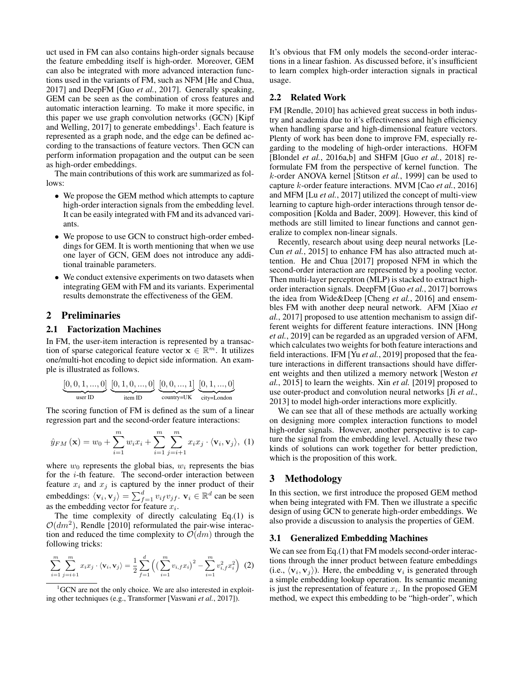uct used in FM can also contains high-order signals because the feature embedding itself is high-order. Moreover, GEM can also be integrated with more advanced interaction functions used in the variants of FM, such as NFM [\[He and Chua,](#page-6-3) [2017\]](#page-6-3) and DeepFM [Guo *[et al.](#page-6-10)*, [2017\]](#page-6-10). Generally speaking, GEM can be seen as the combination of cross features and automatic interaction learning. To make it more specific, in this paper we use graph convolution networks (GCN) [\[Kipf](#page-6-11) [and Welling, 2017\]](#page-6-11) to generate embeddings<sup>[1](#page-1-0)</sup>. Each feature is represented as a graph node, and the edge can be defined according to the transactions of feature vectors. Then GCN can perform information propagation and the output can be seen as high-order embeddings.

The main contributions of this work are summarized as follows:

- We propose the GEM method which attempts to capture high-order interaction signals from the embedding level. It can be easily integrated with FM and its advanced variants.
- We propose to use GCN to construct high-order embeddings for GEM. It is worth mentioning that when we use one layer of GCN, GEM does not introduce any additional trainable parameters.
- We conduct extensive experiments on two datasets when integrating GEM with FM and its variants. Experimental results demonstrate the effectiveness of the GEM.

# 2 Preliminaries

### 2.1 Factorization Machines

In FM, the user-item interaction is represented by a transaction of sparse categorical feature vector  $\mathbf{x} \in \mathbb{R}^m$ . It utilizes one/multi-hot encoding to depict side information. An example is illustrated as follows.

$$
\underbrace{[0,0,1,...,0]}_\text{user ID} \underbrace{[0,1,0,...,0]}_\text{item ID} \underbrace{[0,0,...,1]}_\text{country=UK} \underbrace{[0,1,...,0]}_\text{city=London}
$$

The scoring function of FM is defined as the sum of a linear regression part and the second-order feature interactions:

$$
\hat{y}_{FM}(\mathbf{x}) = w_0 + \sum_{i=1}^{m} w_i x_i + \sum_{i=1}^{m} \sum_{j=i+1}^{m} x_i x_j \cdot \langle \mathbf{v}_i, \mathbf{v}_j \rangle, (1)
$$

where  $w_0$  represents the global bias,  $w_i$  represents the bias for the i-th feature. The second-order interaction between feature  $x_i$  and  $x_j$  is captured by the inner product of their embeddings:  $\langle \mathbf{v}_i, \mathbf{v}_j \rangle = \sum_{f=1}^d v_{if} v_{jf}$ .  $\mathbf{v}_i \in \mathbb{R}^d$  can be seen as the embedding vector for feature  $x_i$ .

The time complexity of directly calculating Eq.[\(1\)](#page-1-1) is  $O(dm^2)$ , [Rendle](#page-6-6) [\[2010\]](#page-6-6) reformulated the pair-wise interaction and reduced the time complexity to  $\mathcal{O}(dm)$  through the following tricks:

<span id="page-1-2"></span>
$$
\sum_{i=1}^{m} \sum_{j=i+1}^{m} x_i x_j \cdot \langle \mathbf{v}_i, \mathbf{v}_j \rangle = \frac{1}{2} \sum_{f=1}^{d} \left( \left( \sum_{i=1}^{m} v_{i,f} x_i \right)^2 - \sum_{i=1}^{m} v_{i,f}^2 x_i^2 \right) (2)
$$

It's obvious that FM only models the second-order interactions in a linear fashion. As discussed before, it's insufficient to learn complex high-order interaction signals in practical usage.

# 2.2 Related Work

FM [\[Rendle, 2010\]](#page-6-6) has achieved great success in both industry and academia due to it's effectiveness and high efficiency when handling sparse and high-dimensional feature vectors. Plenty of work has been done to improve FM, especially regarding to the modeling of high-order interactions. HOFM [\[Blondel](#page-6-13) *et al.*, [2016a,](#page-6-13)[b\]](#page-6-14) and SHFM [Guo *[et al.](#page-6-7)*, [2018\]](#page-6-7) reformulate FM from the perspective of kernel function. The k-order ANOVA kernel [\[Stitson](#page-6-15) *et al.*, [1999\]](#page-6-15) can be used to capture k-order feature interactions. MVM [Cao *[et al.](#page-6-8)*, [2016\]](#page-6-8) and MFM [Lu *[et al.](#page-6-9)*, [2017\]](#page-6-9) utilized the concept of multi-view learning to capture high-order interactions through tensor decomposition [\[Kolda and Bader, 2009\]](#page-6-16). However, this kind of methods are still limited to linear functions and cannot generalize to complex non-linear signals.

Recently, research about using deep neural networks [\[Le-](#page-6-17)Cun *[et al.](#page-6-17)*, [2015\]](#page-6-17) to enhance FM has also attracted much attention. [He and Chua](#page-6-3) [\[2017\]](#page-6-3) proposed NFM in which the second-order interaction are represented by a pooling vector. Then multi-layer perceptron (MLP) is stacked to extract highorder interaction signals. DeepFM [Guo *[et al.](#page-6-10)*, [2017\]](#page-6-10) borrows the idea from Wide&Deep [\[Cheng](#page-6-5) *et al.*, [2016\]](#page-6-5) and ensembles FM with another deep neural network. AFM [\[Xiao](#page-6-18) *et [al.](#page-6-18)*, [2017\]](#page-6-18) proposed to use attention mechanism to assign different weights for different feature interactions. INN [\[Hong](#page-6-19) *[et al.](#page-6-19)*, [2019\]](#page-6-19) can be regarded as an upgraded version of AFM, which calculates two weights for both feature interactions and field interactions. IFM [Yu *[et al.](#page-7-0)*, [2019\]](#page-7-0) proposed that the feature interactions in different transactions should have different weights and then utilized a memory network [\[Weston](#page-6-20) *et [al.](#page-6-20)*, [2015\]](#page-6-20) to learn the weights. Xin *[et al.](#page-6-1)* [\[2019\]](#page-6-1) proposed to use outer-product and convolution neural networks [Ji *[et al.](#page-6-21)*, [2013\]](#page-6-21) to model high-order interactions more explicitly.

<span id="page-1-1"></span>We can see that all of these methods are actually working on designing more complex interaction functions to model high-order signals. However, another perspective is to capture the signal from the embedding level. Actually these two kinds of solutions can work together for better prediction, which is the proposition of this work.

# 3 Methodology

In this section, we first introduce the proposed GEM method when being integrated with FM. Then we illustrate a specific design of using GCN to generate high-order embeddings. We also provide a discussion to analysis the properties of GEM.

#### 3.1 Generalized Embedding Machines

We can see from Eq.[\(1\)](#page-1-1) that FM models second-order interactions through the inner product between feature embeddings (i.e.,  $\langle v_i, v_j \rangle$ ). Here, the embedding  $v_i$  is generated through a simple embedding lookup operation. Its semantic meaning is just the representation of feature  $x_i$ . In the proposed GEM method, we expect this embedding to be "high-order", which

<span id="page-1-0"></span><sup>&</sup>lt;sup>1</sup>GCN are not the only choice. We are also interested in exploiting other techniques (e.g., Transformer [\[Vaswani](#page-6-12) *et al.*, [2017\]](#page-6-12)).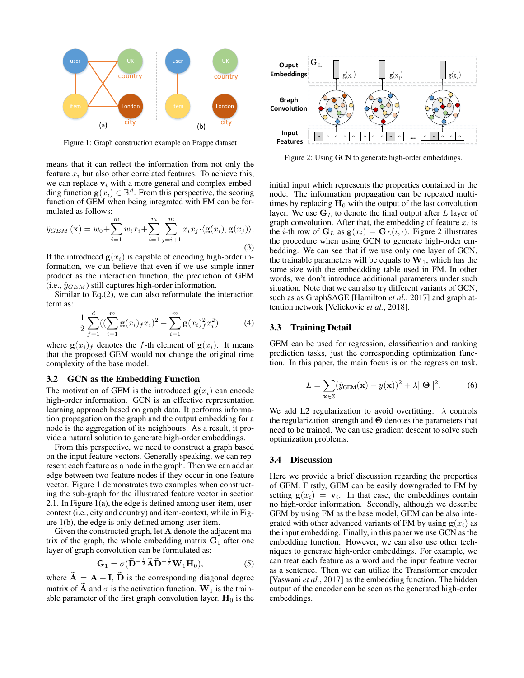<span id="page-2-0"></span>

Figure 1: Graph construction example on Frappe dataset

means that it can reflect the information from not only the feature  $x_i$  but also other correlated features. To achieve this, we can replace  $v_i$  with a more general and complex embedding function  $g(x_i) \in \mathbb{R}^d$ . From this perspective, the scoring function of GEM when being integrated with FM can be formulated as follows:

$$
\hat{y}_{GEM}(\mathbf{x}) = w_0 + \sum_{i=1}^m w_i x_i + \sum_{i=1}^m \sum_{j=i+1}^m x_i x_j \cdot \langle \mathbf{g}(x_i), \mathbf{g}(x_j) \rangle,
$$
\n(3)

If the introduced  $g(x_i)$  is capable of encoding high-order information, we can believe that even if we use simple inner product as the interaction function, the prediction of GEM (i.e.,  $\hat{y}_{GEM}$ ) still captures high-order information.

Similar to Eq.[\(2\)](#page-1-2), we can also reformulate the interaction term as:

$$
\frac{1}{2} \sum_{f=1}^{d} \left( \left( \sum_{i=1}^{m} \mathbf{g}(x_i)_{f} x_i \right)^2 - \sum_{i=1}^{m} \mathbf{g}(x_i)_{f}^{2} x_i^2 \right),\tag{4}
$$

where  $g(x_i)$  denotes the f-th element of  $g(x_i)$ . It means that the proposed GEM would not change the original time complexity of the base model.

#### 3.2 GCN as the Embedding Function

The motivation of GEM is the introduced  $g(x_i)$  can encode high-order information. GCN is an effective representation learning approach based on graph data. It performs information propagation on the graph and the output embedding for a node is the aggregation of its neighbours. As a result, it provide a natural solution to generate high-order embeddings.

From this perspective, we need to construct a graph based on the input feature vectors. Generally speaking, we can represent each feature as a node in the graph. Then we can add an edge between two feature nodes if they occur in one feature vector. Figure [1](#page-2-0) demonstrates two examples when constructing the sub-graph for the illustrated feature vector in section 2.1. In Figure [1\(](#page-2-0)a), the edge is defined among user-item, usercontext (i.e., city and country) and item-context, while in Figure [1\(](#page-2-0)b), the edge is only defined among user-item.

Given the constructed graph, let A denote the adjacent matrix of the graph, the whole embedding matrix  $G_1$  after one layer of graph convolution can be formulated as:

$$
\mathbf{G}_1 = \sigma (\widetilde{\mathbf{D}}^{-\frac{1}{2}} \widetilde{\mathbf{A}} \widetilde{\mathbf{D}}^{-\frac{1}{2}} \mathbf{W}_1 \mathbf{H}_0), \tag{5}
$$

where  $\widetilde{\mathbf{A}} = \mathbf{A} + \mathbf{I}$ ,  $\widetilde{\mathbf{D}}$  is the corresponding diagonal degree matrix of  $\tilde{A}$  and  $\sigma$  is the activation function.  $W_1$  is the trainable parameter of the first graph convolution layer.  $H_0$  is the

<span id="page-2-1"></span>

Figure 2: Using GCN to generate high-order embeddings.

initial input which represents the properties contained in the node. The information propagation can be repeated multitimes by replacing  $H_0$  with the output of the last convolution layer. We use  $G_L$  to denote the final output after L layer of graph convolution. After that, the embedding of feature  $x_i$  is the *i*-th row of  $G_L$  as  $g(x_i) = G_L(i, \cdot)$ . Figure [2](#page-2-1) illustrates the procedure when using GCN to generate high-order embedding. We can see that if we use only one layer of GCN, the trainable parameters will be equals to  $W_1$ , which has the same size with the embeddding table used in FM. In other words, we don't introduce additional parameters under such situation. Note that we can also try different variants of GCN, such as as GraphSAGE [\[Hamilton](#page-6-22) *et al.*, [2017\]](#page-6-22) and graph attention network [\[Velickovic](#page-6-23) *et al.*, [2018\]](#page-6-23).

### 3.3 Training Detail

GEM can be used for regression, classification and ranking prediction tasks, just the corresponding optimization function. In this paper, the main focus is on the regression task.

$$
L = \sum_{\mathbf{x} \in \mathbb{S}} (\hat{y}_{\text{GEM}}(\mathbf{x}) - y(\mathbf{x}))^2 + \lambda ||\mathbf{\Theta}||^2.
$$
 (6)

We add L2 regularization to avoid overfitting.  $\lambda$  controls the regularization strength and  $\Theta$  denotes the parameters that need to be trained. We can use gradient descent to solve such optimization problems.

#### 3.4 Discussion

Here we provide a brief discussion regarding the properties of GEM. Firstly, GEM can be easily downgraded to FM by setting  $g(x_i) = v_i$ . In that case, the embeddings contain no high-order information. Secondly, although we describe GEM by using FM as the base model, GEM can be also integrated with other advanced variants of FM by using  $g(x_i)$  as the input embedding. Finally, in this paper we use GCN as the embedding function. However, we can also use other techniques to generate high-order embeddings. For example, we can treat each feature as a word and the input feature vector as a sentence. Then we can utilize the Transformer encoder [\[Vaswani](#page-6-12) *et al.*, [2017\]](#page-6-12) as the embedding function. The hidden output of the encoder can be seen as the generated high-order embeddings.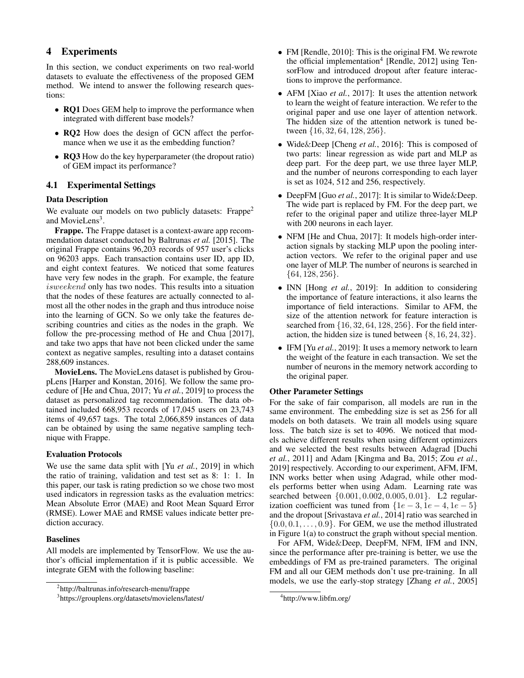# 4 Experiments

In this section, we conduct experiments on two real-world datasets to evaluate the effectiveness of the proposed GEM method. We intend to answer the following research questions:

- **RQ1** Does GEM help to improve the performance when integrated with different base models?
- RO2 How does the design of GCN affect the performance when we use it as the embedding function?
- RQ3 How do the key hyperparameter (the dropout ratio) of GEM impact its performance?

### 4.1 Experimental Settings

### Data Description

We evaluate our models on two publicly datasets: Frappe<sup>[2](#page-3-0)</sup> and MovieLens<sup>[3](#page-3-1)</sup>.

Frappe. The Frappe dataset is a context-aware app recommendation dataset conducted by [Baltrunas](#page-6-24) *et al.* [\[2015\]](#page-6-24). The original Frappe contains 96,203 records of 957 user's clicks on 96203 apps. Each transaction contains user ID, app ID, and eight context features. We noticed that some features have very few nodes in the graph. For example, the feature isweekend only has two nodes. This results into a situation that the nodes of these features are actually connected to almost all the other nodes in the graph and thus introduce noise into the learning of GCN. So we only take the features describing countries and cities as the nodes in the graph. We follow the pre-processing method of [He and Chua](#page-6-3) [\[2017\]](#page-6-3), and take two apps that have not been clicked under the same context as negative samples, resulting into a dataset contains 288,609 instances.

MovieLens. The MovieLens dataset is published by GroupLens [\[Harper and Konstan, 2016\]](#page-6-25). We follow the same procedure of [\[He and Chua, 2017;](#page-6-3) Yu *[et al.](#page-7-0)*, [2019\]](#page-7-0) to process the dataset as personalized tag recommendation. The data obtained included 668,953 records of 17,045 users on 23,743 items of 49,657 tags. The total 2,066,859 instances of data can be obtained by using the same negative sampling technique with Frappe.

#### Evaluation Protocols

We use the same data split with [Yu *[et al.](#page-7-0)*, [2019\]](#page-7-0) in which the ratio of training, validation and test set as 8: 1: 1. In this paper, our task is rating prediction so we chose two most used indicators in regression tasks as the evaluation metrics: Mean Absolute Error (MAE) and Root Mean Squard Error (RMSE). Lower MAE and RMSE values indicate better prediction accuracy.

#### Baselines

All models are implemented by TensorFlow. We use the author's official implementation if it is public accessible. We integrate GEM with the following baseline:

- FM [\[Rendle, 2010\]](#page-6-6): This is the original FM. We rewrote the official implementation<sup>[4](#page-3-2)</sup> [\[Rendle, 2012\]](#page-6-26) using TensorFlow and introduced dropout after feature interactions to improve the performance.
- AFM [\[Xiao](#page-6-18) *et al.*, [2017\]](#page-6-18): It uses the attention network to learn the weight of feature interaction. We refer to the original paper and use one layer of attention network. The hidden size of the attention network is tuned between {16, 32, 64, 128, 256}.
- Wide&Deep [\[Cheng](#page-6-5) *et al.*, [2016\]](#page-6-5): This is composed of two parts: linear regression as wide part and MLP as deep part. For the deep part, we use three layer MLP, and the number of neurons corresponding to each layer is set as 1024, 512 and 256, respectively.
- DeepFM [Guo *[et al.](#page-6-10)*, [2017\]](#page-6-10): It is similar to Wide & Deep. The wide part is replaced by FM. For the deep part, we refer to the original paper and utilize three-layer MLP with 200 neurons in each layer.
- NFM [\[He and Chua, 2017\]](#page-6-3): It models high-order interaction signals by stacking MLP upon the pooling interaction vectors. We refer to the original paper and use one layer of MLP. The number of neurons is searched in  $\{64, 128, 256\}.$
- INN [\[Hong](#page-6-19) *et al.*, [2019\]](#page-6-19): In addition to considering the importance of feature interactions, it also learns the importance of field interactions. Similar to AFM, the size of the attention network for feature interaction is searched from {16, 32, 64, 128, 256}. For the field interaction, the hidden size is tuned between  $\{8, 16, 24, 32\}.$
- IFM [Yu *[et al.](#page-7-0)*, [2019\]](#page-7-0): It uses a memory network to learn the weight of the feature in each transaction. We set the number of neurons in the memory network according to the original paper.

#### Other Parameter Settings

For the sake of fair comparison, all models are run in the same environment. The embedding size is set as 256 for all models on both datasets. We train all models using square loss. The batch size is set to 4096. We noticed that models achieve different results when using different optimizers and we selected the best results between Adagrad [\[Duchi](#page-6-27) *[et al.](#page-6-27)*, [2011\]](#page-6-27) and Adam [\[Kingma and Ba, 2015;](#page-6-28) Zou *[et al.](#page-7-1)*, [2019\]](#page-7-1) respectively. According to our experiment, AFM, IFM, INN works better when using Adagrad, while other models performs better when using Adam. Learning rate was searched between {0.001, 0.002, 0.005, 0.01}. L2 regularization coefficient was tuned from  $\{1e-3, 1e-4, 1e-5\}$ and the dropout [\[Srivastava](#page-6-29) *et al.*, [2014\]](#page-6-29) ratio was searched in  $\{0.0, 0.1, \ldots, 0.9\}$ . For GEM, we use the method illustrated in Figure [1\(](#page-2-0)a) to construct the graph without special mention.

For AFM, Wide&Deep, DeepFM, NFM, IFM and INN, since the performance after pre-training is better, we use the embeddings of FM as pre-trained parameters. The original FM and all our GEM methods don't use pre-training. In all models, we use the early-stop strategy [\[Zhang](#page-7-2) *et al.*, [2005\]](#page-7-2)

<span id="page-3-0"></span><sup>2</sup> http://baltrunas.info/research-menu/frappe

<span id="page-3-1"></span><sup>3</sup> https://grouplens.org/datasets/movielens/latest/

<span id="page-3-2"></span><sup>4</sup> http://www.libfm.org/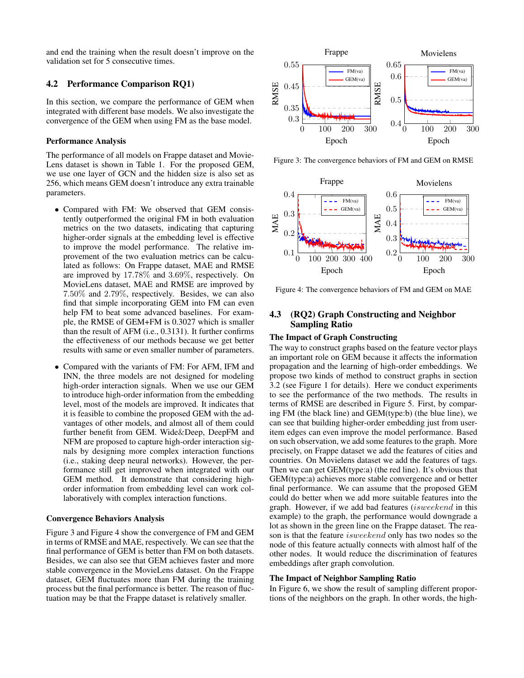and end the training when the result doesn't improve on the validation set for 5 consecutive times.

# 4.2 Performance Comparison RQ1)

In this section, we compare the performance of GEM when integrated with different base models. We also investigate the convergence of the GEM when using FM as the base model.

### Performance Analysis

The performance of all models on Frappe dataset and Movie-Lens dataset is shown in Table [1.](#page-5-0) For the proposed GEM, we use one layer of GCN and the hidden size is also set as 256, which means GEM doesn't introduce any extra trainable parameters.

- Compared with FM: We observed that GEM consistently outperformed the original FM in both evaluation metrics on the two datasets, indicating that capturing higher-order signals at the embedding level is effective to improve the model performance. The relative improvement of the two evaluation metrics can be calculated as follows: On Frappe dataset, MAE and RMSE are improved by 17.78% and 3.69%, respectively. On MovieLens dataset, MAE and RMSE are improved by 7.50% and 2.79%, respectively. Besides, we can also find that simple incorporating GEM into FM can even help FM to beat some advanced baselines. For example, the RMSE of GEM+FM is 0.3027 which is smaller than the result of AFM (i.e., 0.3131). It further confirms the effectiveness of our methods because we get better results with same or even smaller number of parameters.
- Compared with the variants of FM: For AFM, IFM and INN, the three models are not designed for modeling high-order interaction signals. When we use our GEM to introduce high-order information from the embedding level, most of the models are improved. It indicates that it is feasible to combine the proposed GEM with the advantages of other models, and almost all of them could further benefit from GEM. Wide&Deep, DeepFM and NFM are proposed to capture high-order interaction signals by designing more complex interaction functions (i.e., staking deep neural networks). However, the performance still get improved when integrated with our GEM method. It demonstrate that considering highorder information from embedding level can work collaboratively with complex interaction functions.

#### Convergence Behaviors Analysis

Figure [3](#page-4-0) and Figure [4](#page-4-1) show the convergence of FM and GEM in terms of RMSE and MAE, respectively. We can see that the final performance of GEM is better than FM on both datasets. Besides, we can also see that GEM achieves faster and more stable convergence in the MovieLens dataset. On the Frappe dataset, GEM fluctuates more than FM during the training process but the final performance is better. The reason of fluctuation may be that the Frappe dataset is relatively smaller.

<span id="page-4-0"></span>

Figure 3: The convergence behaviors of FM and GEM on RMSE

<span id="page-4-1"></span>

Figure 4: The convergence behaviors of FM and GEM on MAE

# 4.3 (RQ2) Graph Constructing and Neighbor Sampling Ratio

#### The Impact of Graph Constructing

The way to construct graphs based on the feature vector plays an important role on GEM because it affects the information propagation and the learning of high-order embeddings. We propose two kinds of method to construct graphs in section 3.2 (see Figure [1](#page-2-0) for details). Here we conduct experiments to see the performance of the two methods. The results in terms of RMSE are described in Figure [5.](#page-5-1) First, by comparing FM (the black line) and GEM(type:b) (the blue line), we can see that building higher-order embedding just from useritem edges can even improve the model performance. Based on such observation, we add some features to the graph. More precisely, on Frappe dataset we add the features of cities and countries. On Movielens dataset we add the features of tags. Then we can get GEM(type:a) (the red line). It's obvious that GEM(type:a) achieves more stable convergence and or better final performance. We can assume that the proposed GEM could do better when we add more suitable features into the graph. However, if we add bad features (isweekend in this example) to the graph, the performance would downgrade a lot as shown in the green line on the Frappe dataset. The reason is that the feature isweekend only has two nodes so the node of this feature actually connects with almost half of the other nodes. It would reduce the discrimination of features embeddings after graph convolution.

### The Impact of Neighbor Sampling Ratio

In Figure [6,](#page-5-2) we show the result of sampling different proportions of the neighbors on the graph. In other words, the high-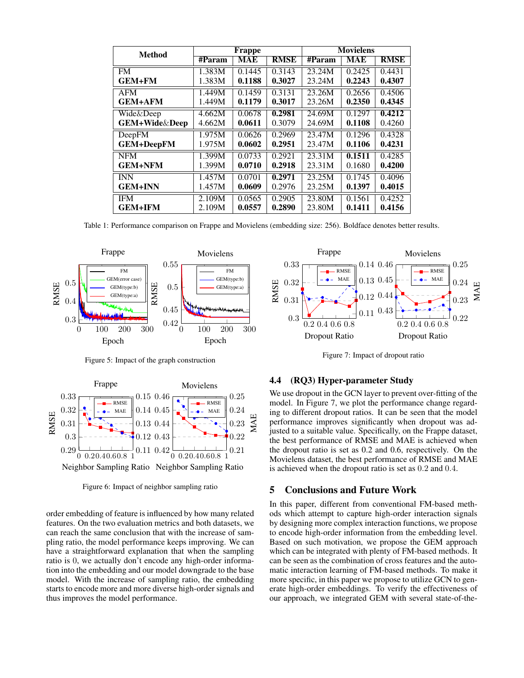<span id="page-5-0"></span>

| <b>Method</b>     | <b>Frappe</b> |        |             | <b>Movielens</b> |        |             |
|-------------------|---------------|--------|-------------|------------------|--------|-------------|
|                   | #Param        | MAE    | <b>RMSE</b> | #Param           | MAE    | <b>RMSE</b> |
| <b>FM</b>         | 1.383M        | 0.1445 | 0.3143      | 23.24M           | 0.2425 | 0.4431      |
| GEM+FM            | 1.383M        | 0.1188 | 0.3027      | 23.24M           | 0.2243 | 0.4307      |
| <b>AFM</b>        | 1.449M        | 0.1459 | 0.3131      | 23.26M           | 0.2656 | 0.4506      |
| GEM+AFM           | 1.449M        | 0.1179 | 0.3017      | 23.26M           | 0.2350 | 0.4345      |
| Wide&Deep         | 4.662M        | 0.0678 | 0.2981      | 24.69M           | 0.1297 | 0.4212      |
| GEM+Wide&Deep     | 4.662M        | 0.0611 | 0.3079      | 24.69M           | 0.1108 | 0.4260      |
| <b>DeepFM</b>     | 1.975M        | 0.0626 | 0.2969      | 23.47M           | 0.1296 | 0.4328      |
| <b>GEM+DeepFM</b> | 1.975M        | 0.0602 | 0.2951      | 23.47M           | 0.1106 | 0.4231      |
| <b>NFM</b>        | 1.399M        | 0.0733 | 0.2921      | 23.31M           | 0.1511 | 0.4285      |
| <b>GEM+NFM</b>    | 1.399M        | 0.0710 | 0.2918      | 23.31M           | 0.1680 | 0.4200      |
| <b>INN</b>        | 1.457M        | 0.0701 | 0.2971      | 23.25M           | 0.1745 | 0.4096      |
| <b>GEM+INN</b>    | 1.457M        | 0.0609 | 0.2976      | 23.25M           | 0.1397 | 0.4015      |
| <b>IFM</b>        | 2.109M        | 0.0565 | 0.2905      | 23.80M           | 0.1561 | 0.4252      |
| GEM+IFM           | 2.109M        | 0.0557 | 0.2890      | 23.80M           | 0.1411 | 0.4156      |

Table 1: Performance comparison on Frappe and Movielens (embedding size: 256). Boldface denotes better results.

<span id="page-5-1"></span>

Figure 5: Impact of the graph construction

<span id="page-5-2"></span>

Figure 6: Impact of neighbor sampling ratio

order embedding of feature is influenced by how many related features. On the two evaluation metrics and both datasets, we can reach the same conclusion that with the increase of sampling ratio, the model performance keeps improving. We can have a straightforward explanation that when the sampling ratio is 0, we actually don't encode any high-order information into the embedding and our model downgrade to the base model. With the increase of sampling ratio, the embedding starts to encode more and more diverse high-order signals and thus improves the model performance.

<span id="page-5-3"></span>

Figure 7: Impact of dropout ratio

### 4.4 (RQ3) Hyper-parameter Study

We use dropout in the GCN layer to prevent over-fitting of the model. In Figure [7,](#page-5-3) we plot the performance change regarding to different dropout ratios. It can be seen that the model performance improves significantly when dropout was adjusted to a suitable value. Specifically, on the Frappe dataset, the best performance of RMSE and MAE is achieved when the dropout ratio is set as 0.2 and 0.6, respectively. On the Movielens dataset, the best performance of RMSE and MAE is achieved when the dropout ratio is set as 0.2 and 0.4.

# 5 Conclusions and Future Work

In this paper, different from conventional FM-based methods which attempt to capture high-order interaction signals by designing more complex interaction functions, we propose to encode high-order information from the embedding level. Based on such motivation, we propose the GEM approach which can be integrated with plenty of FM-based methods. It can be seen as the combination of cross features and the automatic interaction learning of FM-based methods. To make it more specific, in this paper we propose to utilize GCN to generate high-order embeddings. To verify the effectiveness of our approach, we integrated GEM with several state-of-the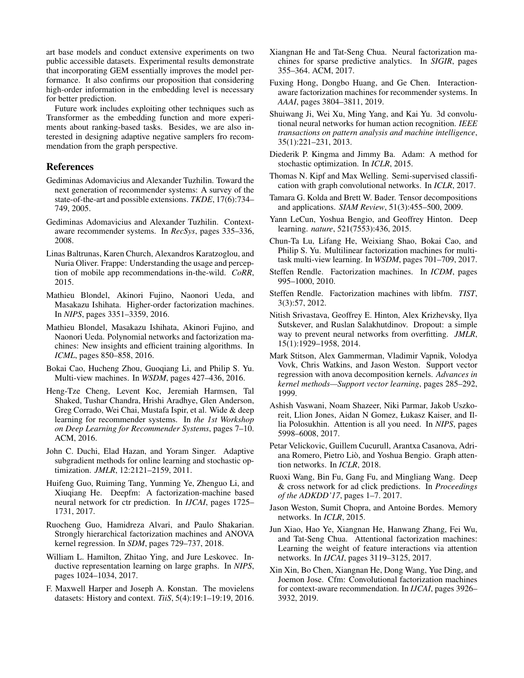art base models and conduct extensive experiments on two public accessible datasets. Experimental results demonstrate that incorporating GEM essentially improves the model performance. It also confirms our proposition that considering high-order information in the embedding level is necessary for better prediction.

Future work includes exploiting other techniques such as Transformer as the embedding function and more experiments about ranking-based tasks. Besides, we are also interested in designing adaptive negative samplers fro recommendation from the graph perspective.

# References

- <span id="page-6-0"></span>Gediminas Adomavicius and Alexander Tuzhilin. Toward the next generation of recommender systems: A survey of the state-of-the-art and possible extensions. *TKDE*, 17(6):734– 749, 2005.
- <span id="page-6-2"></span>Gediminas Adomavicius and Alexander Tuzhilin. Contextaware recommender systems. In *RecSys*, pages 335–336, 2008.
- <span id="page-6-24"></span>Linas Baltrunas, Karen Church, Alexandros Karatzoglou, and Nuria Oliver. Frappe: Understanding the usage and perception of mobile app recommendations in-the-wild. *CoRR*, 2015.
- <span id="page-6-13"></span>Mathieu Blondel, Akinori Fujino, Naonori Ueda, and Masakazu Ishihata. Higher-order factorization machines. In *NIPS*, pages 3351–3359, 2016.
- <span id="page-6-14"></span>Mathieu Blondel, Masakazu Ishihata, Akinori Fujino, and Naonori Ueda. Polynomial networks and factorization machines: New insights and efficient training algorithms. In *ICML*, pages 850–858, 2016.
- <span id="page-6-8"></span>Bokai Cao, Hucheng Zhou, Guoqiang Li, and Philip S. Yu. Multi-view machines. In *WSDM*, pages 427–436, 2016.
- <span id="page-6-5"></span>Heng-Tze Cheng, Levent Koc, Jeremiah Harmsen, Tal Shaked, Tushar Chandra, Hrishi Aradhye, Glen Anderson, Greg Corrado, Wei Chai, Mustafa Ispir, et al. Wide & deep learning for recommender systems. In *the 1st Workshop on Deep Learning for Recommender Systems*, pages 7–10. ACM, 2016.
- <span id="page-6-27"></span>John C. Duchi, Elad Hazan, and Yoram Singer. Adaptive subgradient methods for online learning and stochastic optimization. *JMLR*, 12:2121–2159, 2011.
- <span id="page-6-10"></span>Huifeng Guo, Ruiming Tang, Yunming Ye, Zhenguo Li, and Xiuqiang He. Deepfm: A factorization-machine based neural network for ctr prediction. In *IJCAI*, pages 1725– 1731, 2017.
- <span id="page-6-7"></span>Ruocheng Guo, Hamidreza Alvari, and Paulo Shakarian. Strongly hierarchical factorization machines and ANOVA kernel regression. In *SDM*, pages 729–737, 2018.
- <span id="page-6-22"></span>William L. Hamilton, Zhitao Ying, and Jure Leskovec. Inductive representation learning on large graphs. In *NIPS*, pages 1024–1034, 2017.
- <span id="page-6-25"></span>F. Maxwell Harper and Joseph A. Konstan. The movielens datasets: History and context. *TiiS*, 5(4):19:1–19:19, 2016.
- <span id="page-6-3"></span>Xiangnan He and Tat-Seng Chua. Neural factorization machines for sparse predictive analytics. In *SIGIR*, pages 355–364. ACM, 2017.
- <span id="page-6-19"></span>Fuxing Hong, Dongbo Huang, and Ge Chen. Interactionaware factorization machines for recommender systems. In *AAAI*, pages 3804–3811, 2019.
- <span id="page-6-21"></span>Shuiwang Ji, Wei Xu, Ming Yang, and Kai Yu. 3d convolutional neural networks for human action recognition. *IEEE transactions on pattern analysis and machine intelligence*, 35(1):221–231, 2013.
- <span id="page-6-28"></span>Diederik P. Kingma and Jimmy Ba. Adam: A method for stochastic optimization. In *ICLR*, 2015.
- <span id="page-6-11"></span>Thomas N. Kipf and Max Welling. Semi-supervised classification with graph convolutional networks. In *ICLR*, 2017.
- <span id="page-6-16"></span>Tamara G. Kolda and Brett W. Bader. Tensor decompositions and applications. *SIAM Review*, 51(3):455–500, 2009.
- <span id="page-6-17"></span>Yann LeCun, Yoshua Bengio, and Geoffrey Hinton. Deep learning. *nature*, 521(7553):436, 2015.
- <span id="page-6-9"></span>Chun-Ta Lu, Lifang He, Weixiang Shao, Bokai Cao, and Philip S. Yu. Multilinear factorization machines for multitask multi-view learning. In *WSDM*, pages 701–709, 2017.
- <span id="page-6-6"></span>Steffen Rendle. Factorization machines. In *ICDM*, pages 995–1000, 2010.
- <span id="page-6-26"></span>Steffen Rendle. Factorization machines with libfm. *TIST*, 3(3):57, 2012.
- <span id="page-6-29"></span>Nitish Srivastava, Geoffrey E. Hinton, Alex Krizhevsky, Ilya Sutskever, and Ruslan Salakhutdinov. Dropout: a simple way to prevent neural networks from overfitting. *JMLR*, 15(1):1929–1958, 2014.
- <span id="page-6-15"></span>Mark Stitson, Alex Gammerman, Vladimir Vapnik, Volodya Vovk, Chris Watkins, and Jason Weston. Support vector regression with anova decomposition kernels. *Advances in kernel methods—Support vector learning*, pages 285–292, 1999.
- <span id="page-6-12"></span>Ashish Vaswani, Noam Shazeer, Niki Parmar, Jakob Uszkoreit, Llion Jones, Aidan N Gomez, Łukasz Kaiser, and Illia Polosukhin. Attention is all you need. In *NIPS*, pages 5998–6008, 2017.
- <span id="page-6-23"></span>Petar Velickovic, Guillem Cucurull, Arantxa Casanova, Adriana Romero, Pietro Lio, and Yoshua Bengio. Graph atten- ` tion networks. In *ICLR*, 2018.
- <span id="page-6-4"></span>Ruoxi Wang, Bin Fu, Gang Fu, and Mingliang Wang. Deep & cross network for ad click predictions. In *Proceedings of the ADKDD'17*, pages 1–7. 2017.
- <span id="page-6-20"></span>Jason Weston, Sumit Chopra, and Antoine Bordes. Memory networks. In *ICLR*, 2015.
- <span id="page-6-18"></span>Jun Xiao, Hao Ye, Xiangnan He, Hanwang Zhang, Fei Wu, and Tat-Seng Chua. Attentional factorization machines: Learning the weight of feature interactions via attention networks. In *IJCAI*, pages 3119–3125, 2017.
- <span id="page-6-1"></span>Xin Xin, Bo Chen, Xiangnan He, Dong Wang, Yue Ding, and Joemon Jose. Cfm: Convolutional factorization machines for context-aware recommendation. In *IJCAI*, pages 3926– 3932, 2019.